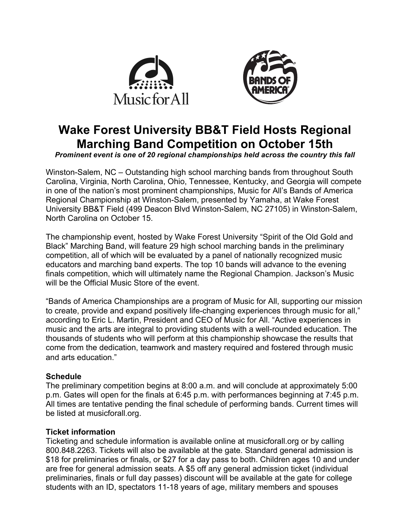



# **Wake Forest University BB&T Field Hosts Regional Marching Band Competition on October 15th**

*Prominent event is one of 20 regional championships held across the country this fall*

Winston-Salem, NC – Outstanding high school marching bands from throughout South Carolina, Virginia, North Carolina, Ohio, Tennessee, Kentucky, and Georgia will compete in one of the nation's most prominent championships, Music for All's Bands of America Regional Championship at Winston-Salem, presented by Yamaha, at Wake Forest University BB&T Field (499 Deacon Blvd Winston-Salem, NC 27105) in Winston-Salem, North Carolina on October 15.

The championship event, hosted by Wake Forest University "Spirit of the Old Gold and Black" Marching Band, will feature 29 high school marching bands in the preliminary competition, all of which will be evaluated by a panel of nationally recognized music educators and marching band experts. The top 10 bands will advance to the evening finals competition, which will ultimately name the Regional Champion. Jackson's Music will be the Official Music Store of the event.

"Bands of America Championships are a program of Music for All, supporting our mission to create, provide and expand positively life-changing experiences through music for all," according to Eric L. Martin, President and CEO of Music for All. "Active experiences in music and the arts are integral to providing students with a well-rounded education. The thousands of students who will perform at this championship showcase the results that come from the dedication, teamwork and mastery required and fostered through music and arts education."

## **Schedule**

The preliminary competition begins at 8:00 a.m. and will conclude at approximately 5:00 p.m. Gates will open for the finals at 6:45 p.m. with performances beginning at 7:45 p.m. All times are tentative pending the final schedule of performing bands. Current times will be listed at musicforall.org.

## **Ticket information**

Ticketing and schedule information is available online at musicforall.org or by calling 800.848.2263. Tickets will also be available at the gate. Standard general admission is \$18 for preliminaries or finals, or \$27 for a day pass to both. Children ages 10 and under are free for general admission seats. A \$5 off any general admission ticket (individual preliminaries, finals or full day passes) discount will be available at the gate for college students with an ID, spectators 11-18 years of age, military members and spouses